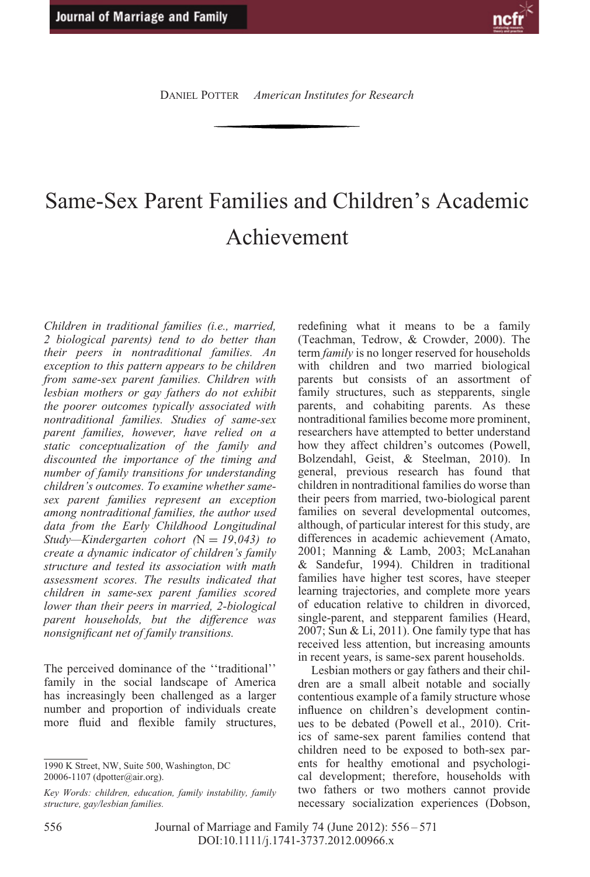

# Same-Sex Parent Families and Children's Academic Achievement

*Children in traditional families (i.e., married, 2 biological parents) tend to do better than their peers in nontraditional families. An exception to this pattern appears to be children from same-sex parent families. Children with lesbian mothers or gay fathers do not exhibit the poorer outcomes typically associated with nontraditional families. Studies of same-sex parent families, however, have relied on a static conceptualization of the family and discounted the importance of the timing and number of family transitions for understanding children's outcomes. To examine whether samesex parent families represent an exception among nontraditional families, the author used data from the Early Childhood Longitudinal Study—Kindergarten cohort*  $(N = 19,043)$  to *create a dynamic indicator of children's family structure and tested its association with math assessment scores. The results indicated that children in same-sex parent families scored lower than their peers in married, 2-biological parent households, but the difference was nonsignificant net of family transitions.*

The perceived dominance of the ''traditional'' family in the social landscape of America has increasingly been challenged as a larger number and proportion of individuals create more fluid and flexible family structures, redefining what it means to be a family (Teachman, Tedrow, & Crowder, 2000). The term *family* is no longer reserved for households with children and two married biological parents but consists of an assortment of family structures, such as stepparents, single parents, and cohabiting parents. As these nontraditional families become more prominent, researchers have attempted to better understand how they affect children's outcomes (Powell, Bolzendahl, Geist, & Steelman, 2010). In general, previous research has found that children in nontraditional families do worse than their peers from married, two-biological parent families on several developmental outcomes, although, of particular interest for this study, are differences in academic achievement (Amato, 2001; Manning & Lamb, 2003; McLanahan & Sandefur, 1994). Children in traditional families have higher test scores, have steeper learning trajectories, and complete more years of education relative to children in divorced, single-parent, and stepparent families (Heard, 2007; Sun & Li, 2011). One family type that has received less attention, but increasing amounts in recent years, is same-sex parent households.

Lesbian mothers or gay fathers and their children are a small albeit notable and socially contentious example of a family structure whose influence on children's development continues to be debated (Powell et al., 2010). Critics of same-sex parent families contend that children need to be exposed to both-sex parents for healthy emotional and psychological development; therefore, households with two fathers or two mothers cannot provide necessary socialization experiences (Dobson,

<sup>1990</sup> K Street, NW, Suite 500, Washington, DC 20006-1107 (dpotter@air.org).

*Key Words: children, education, family instability, family structure, gay/lesbian families.*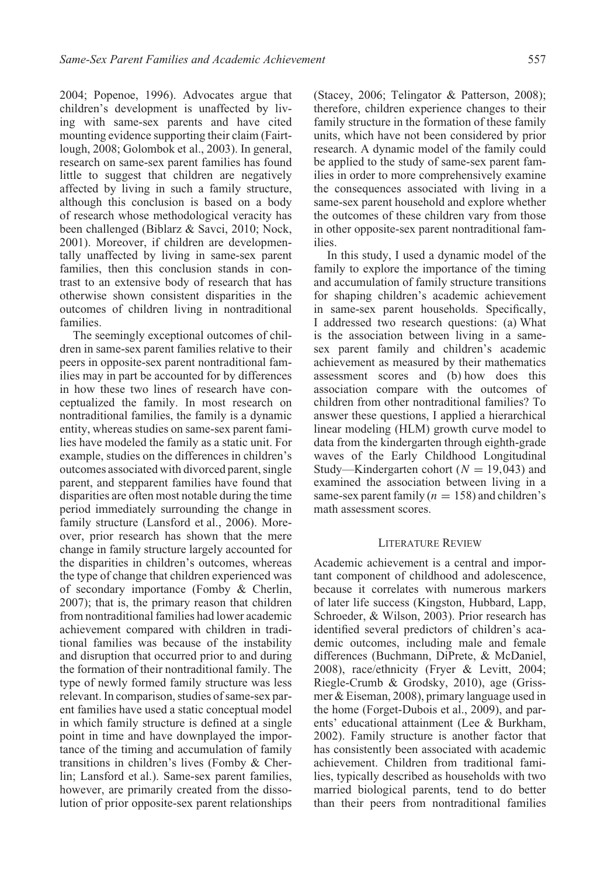2004; Popenoe, 1996). Advocates argue that children's development is unaffected by living with same-sex parents and have cited mounting evidence supporting their claim (Fairtlough, 2008; Golombok et al., 2003). In general, research on same-sex parent families has found little to suggest that children are negatively affected by living in such a family structure, although this conclusion is based on a body of research whose methodological veracity has been challenged (Biblarz & Savci, 2010; Nock, 2001). Moreover, if children are developmentally unaffected by living in same-sex parent families, then this conclusion stands in contrast to an extensive body of research that has otherwise shown consistent disparities in the outcomes of children living in nontraditional families.

The seemingly exceptional outcomes of children in same-sex parent families relative to their peers in opposite-sex parent nontraditional families may in part be accounted for by differences in how these two lines of research have conceptualized the family. In most research on nontraditional families, the family is a dynamic entity, whereas studies on same-sex parent families have modeled the family as a static unit. For example, studies on the differences in children's outcomes associated with divorced parent, single parent, and stepparent families have found that disparities are often most notable during the time period immediately surrounding the change in family structure (Lansford et al., 2006). Moreover, prior research has shown that the mere change in family structure largely accounted for the disparities in children's outcomes, whereas the type of change that children experienced was of secondary importance (Fomby & Cherlin, 2007); that is, the primary reason that children from nontraditional families had lower academic achievement compared with children in traditional families was because of the instability and disruption that occurred prior to and during the formation of their nontraditional family. The type of newly formed family structure was less relevant. In comparison, studies of same-sex parent families have used a static conceptual model in which family structure is defined at a single point in time and have downplayed the importance of the timing and accumulation of family transitions in children's lives (Fomby & Cherlin; Lansford et al.). Same-sex parent families, however, are primarily created from the dissolution of prior opposite-sex parent relationships

(Stacey, 2006; Telingator & Patterson, 2008); therefore, children experience changes to their family structure in the formation of these family units, which have not been considered by prior research. A dynamic model of the family could be applied to the study of same-sex parent families in order to more comprehensively examine the consequences associated with living in a same-sex parent household and explore whether the outcomes of these children vary from those in other opposite-sex parent nontraditional families.

In this study, I used a dynamic model of the family to explore the importance of the timing and accumulation of family structure transitions for shaping children's academic achievement in same-sex parent households. Specifically, I addressed two research questions: (a) What is the association between living in a samesex parent family and children's academic achievement as measured by their mathematics assessment scores and (b) how does this association compare with the outcomes of children from other nontraditional families? To answer these questions, I applied a hierarchical linear modeling (HLM) growth curve model to data from the kindergarten through eighth-grade waves of the Early Childhood Longitudinal Study—Kindergarten cohort ( $N = 19,043$ ) and examined the association between living in a same-sex parent family ( $n = 158$ ) and children's math assessment scores.

### LITERATURE REVIEW

Academic achievement is a central and important component of childhood and adolescence, because it correlates with numerous markers of later life success (Kingston, Hubbard, Lapp, Schroeder, & Wilson, 2003). Prior research has identified several predictors of children's academic outcomes, including male and female differences (Buchmann, DiPrete, & McDaniel, 2008), race/ethnicity (Fryer & Levitt, 2004; Riegle-Crumb & Grodsky, 2010), age (Grissmer & Eiseman, 2008), primary language used in the home (Forget-Dubois et al., 2009), and parents' educational attainment (Lee & Burkham, 2002). Family structure is another factor that has consistently been associated with academic achievement. Children from traditional families, typically described as households with two married biological parents, tend to do better than their peers from nontraditional families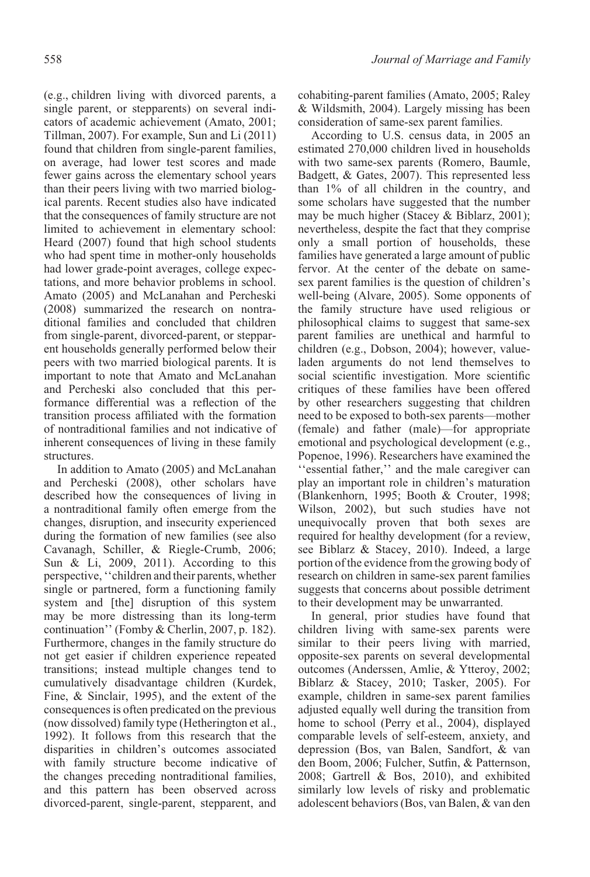(e.g., children living with divorced parents, a single parent, or stepparents) on several indicators of academic achievement (Amato, 2001; Tillman, 2007). For example, Sun and Li (2011) found that children from single-parent families, on average, had lower test scores and made fewer gains across the elementary school years than their peers living with two married biological parents. Recent studies also have indicated that the consequences of family structure are not limited to achievement in elementary school: Heard (2007) found that high school students who had spent time in mother-only households had lower grade-point averages, college expectations, and more behavior problems in school. Amato (2005) and McLanahan and Percheski (2008) summarized the research on nontraditional families and concluded that children from single-parent, divorced-parent, or stepparent households generally performed below their peers with two married biological parents. It is important to note that Amato and McLanahan and Percheski also concluded that this performance differential was a reflection of the transition process affiliated with the formation of nontraditional families and not indicative of inherent consequences of living in these family structures.

In addition to Amato (2005) and McLanahan and Percheski (2008), other scholars have described how the consequences of living in a nontraditional family often emerge from the changes, disruption, and insecurity experienced during the formation of new families (see also Cavanagh, Schiller, & Riegle-Crumb, 2006; Sun & Li, 2009, 2011). According to this perspective, ''children and their parents, whether single or partnered, form a functioning family system and [the] disruption of this system may be more distressing than its long-term continuation'' (Fomby & Cherlin, 2007, p. 182). Furthermore, changes in the family structure do not get easier if children experience repeated transitions; instead multiple changes tend to cumulatively disadvantage children (Kurdek, Fine, & Sinclair, 1995), and the extent of the consequences is often predicated on the previous (now dissolved) family type (Hetherington et al., 1992). It follows from this research that the disparities in children's outcomes associated with family structure become indicative of the changes preceding nontraditional families, and this pattern has been observed across divorced-parent, single-parent, stepparent, and

cohabiting-parent families (Amato, 2005; Raley & Wildsmith, 2004). Largely missing has been consideration of same-sex parent families.

According to U.S. census data, in 2005 an estimated 270,000 children lived in households with two same-sex parents (Romero, Baumle, Badgett, & Gates, 2007). This represented less than 1% of all children in the country, and some scholars have suggested that the number may be much higher (Stacey & Biblarz, 2001); nevertheless, despite the fact that they comprise only a small portion of households, these families have generated a large amount of public fervor. At the center of the debate on samesex parent families is the question of children's well-being (Alvare, 2005). Some opponents of the family structure have used religious or philosophical claims to suggest that same-sex parent families are unethical and harmful to children (e.g., Dobson, 2004); however, valueladen arguments do not lend themselves to social scientific investigation. More scientific critiques of these families have been offered by other researchers suggesting that children need to be exposed to both-sex parents—mother (female) and father (male)—for appropriate emotional and psychological development (e.g., Popenoe, 1996). Researchers have examined the ''essential father,'' and the male caregiver can play an important role in children's maturation (Blankenhorn, 1995; Booth & Crouter, 1998; Wilson, 2002), but such studies have not unequivocally proven that both sexes are required for healthy development (for a review, see Biblarz & Stacey, 2010). Indeed, a large portion of the evidence from the growing body of research on children in same-sex parent families suggests that concerns about possible detriment to their development may be unwarranted.

In general, prior studies have found that children living with same-sex parents were similar to their peers living with married, opposite-sex parents on several developmental outcomes (Anderssen, Amlie, & Ytteroy, 2002; Biblarz & Stacey, 2010; Tasker, 2005). For example, children in same-sex parent families adjusted equally well during the transition from home to school (Perry et al., 2004), displayed comparable levels of self-esteem, anxiety, and depression (Bos, van Balen, Sandfort, & van den Boom, 2006; Fulcher, Sutfin, & Patternson, 2008; Gartrell & Bos, 2010), and exhibited similarly low levels of risky and problematic adolescent behaviors (Bos, van Balen, & van den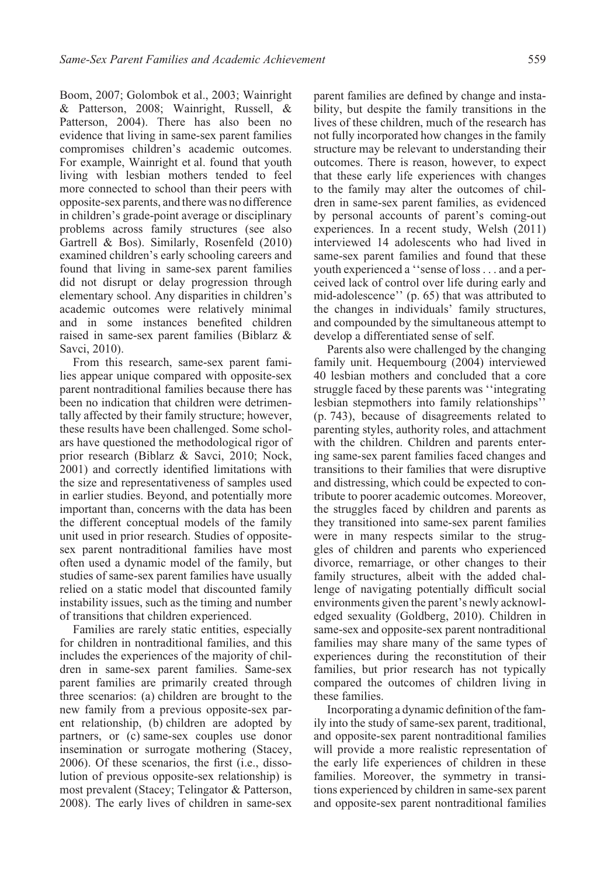Boom, 2007; Golombok et al., 2003; Wainright & Patterson, 2008; Wainright, Russell, & Patterson, 2004). There has also been no evidence that living in same-sex parent families compromises children's academic outcomes. For example, Wainright et al. found that youth living with lesbian mothers tended to feel more connected to school than their peers with opposite-sex parents, and there was no difference in children's grade-point average or disciplinary problems across family structures (see also Gartrell & Bos). Similarly, Rosenfeld (2010) examined children's early schooling careers and found that living in same-sex parent families did not disrupt or delay progression through elementary school. Any disparities in children's academic outcomes were relatively minimal and in some instances benefited children raised in same-sex parent families (Biblarz & Savci, 2010).

From this research, same-sex parent families appear unique compared with opposite-sex parent nontraditional families because there has been no indication that children were detrimentally affected by their family structure; however, these results have been challenged. Some scholars have questioned the methodological rigor of prior research (Biblarz & Savci, 2010; Nock, 2001) and correctly identified limitations with the size and representativeness of samples used in earlier studies. Beyond, and potentially more important than, concerns with the data has been the different conceptual models of the family unit used in prior research. Studies of oppositesex parent nontraditional families have most often used a dynamic model of the family, but studies of same-sex parent families have usually relied on a static model that discounted family instability issues, such as the timing and number of transitions that children experienced.

Families are rarely static entities, especially for children in nontraditional families, and this includes the experiences of the majority of children in same-sex parent families. Same-sex parent families are primarily created through three scenarios: (a) children are brought to the new family from a previous opposite-sex parent relationship, (b) children are adopted by partners, or (c) same-sex couples use donor insemination or surrogate mothering (Stacey, 2006). Of these scenarios, the first (i.e., dissolution of previous opposite-sex relationship) is most prevalent (Stacey; Telingator & Patterson, 2008). The early lives of children in same-sex parent families are defined by change and instability, but despite the family transitions in the lives of these children, much of the research has not fully incorporated how changes in the family structure may be relevant to understanding their outcomes. There is reason, however, to expect that these early life experiences with changes to the family may alter the outcomes of children in same-sex parent families, as evidenced by personal accounts of parent's coming-out experiences. In a recent study, Welsh (2011) interviewed 14 adolescents who had lived in same-sex parent families and found that these youth experienced a ''sense of loss*...* and a perceived lack of control over life during early and mid-adolescence'' (p. 65) that was attributed to the changes in individuals' family structures, and compounded by the simultaneous attempt to develop a differentiated sense of self.

Parents also were challenged by the changing family unit. Hequembourg (2004) interviewed 40 lesbian mothers and concluded that a core struggle faced by these parents was ''integrating lesbian stepmothers into family relationships'' (p. 743), because of disagreements related to parenting styles, authority roles, and attachment with the children. Children and parents entering same-sex parent families faced changes and transitions to their families that were disruptive and distressing, which could be expected to contribute to poorer academic outcomes. Moreover, the struggles faced by children and parents as they transitioned into same-sex parent families were in many respects similar to the struggles of children and parents who experienced divorce, remarriage, or other changes to their family structures, albeit with the added challenge of navigating potentially difficult social environments given the parent's newly acknowledged sexuality (Goldberg, 2010). Children in same-sex and opposite-sex parent nontraditional families may share many of the same types of experiences during the reconstitution of their families, but prior research has not typically compared the outcomes of children living in these families.

Incorporating a dynamic definition of the family into the study of same-sex parent, traditional, and opposite-sex parent nontraditional families will provide a more realistic representation of the early life experiences of children in these families. Moreover, the symmetry in transitions experienced by children in same-sex parent and opposite-sex parent nontraditional families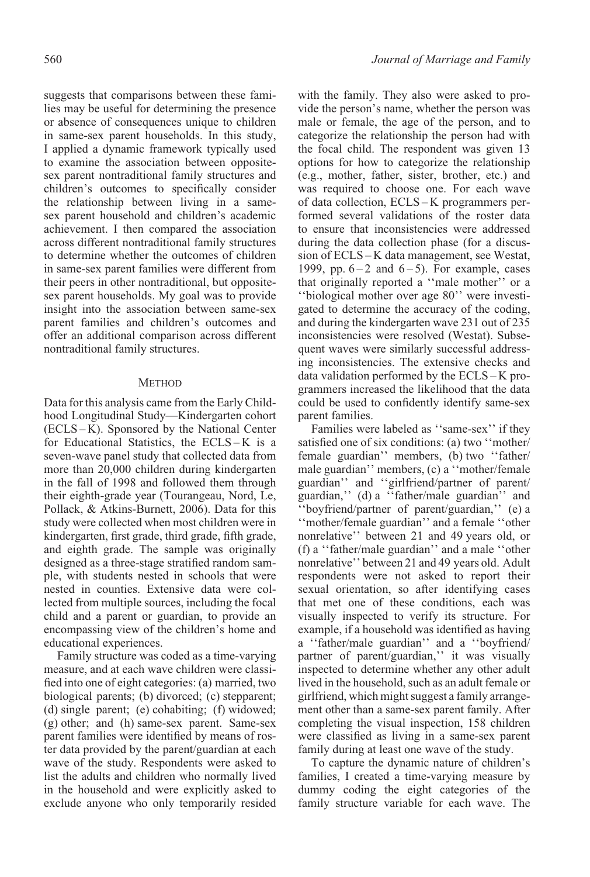suggests that comparisons between these families may be useful for determining the presence or absence of consequences unique to children in same-sex parent households. In this study, I applied a dynamic framework typically used to examine the association between oppositesex parent nontraditional family structures and children's outcomes to specifically consider the relationship between living in a samesex parent household and children's academic achievement. I then compared the association across different nontraditional family structures to determine whether the outcomes of children in same-sex parent families were different from their peers in other nontraditional, but oppositesex parent households. My goal was to provide insight into the association between same-sex parent families and children's outcomes and offer an additional comparison across different nontraditional family structures.

#### **METHOD**

Data for this analysis came from the Early Childhood Longitudinal Study—Kindergarten cohort (ECLS – K). Sponsored by the National Center for Educational Statistics, the  $ECLS-K$  is a seven-wave panel study that collected data from more than 20,000 children during kindergarten in the fall of 1998 and followed them through their eighth-grade year (Tourangeau, Nord, Le, Pollack, & Atkins-Burnett, 2006). Data for this study were collected when most children were in kindergarten, first grade, third grade, fifth grade, and eighth grade. The sample was originally designed as a three-stage stratified random sample, with students nested in schools that were nested in counties. Extensive data were collected from multiple sources, including the focal child and a parent or guardian, to provide an encompassing view of the children's home and educational experiences.

Family structure was coded as a time-varying measure, and at each wave children were classified into one of eight categories: (a) married, two biological parents; (b) divorced; (c) stepparent; (d) single parent; (e) cohabiting; (f) widowed; (g) other; and (h) same-sex parent. Same-sex parent families were identified by means of roster data provided by the parent/guardian at each wave of the study. Respondents were asked to list the adults and children who normally lived in the household and were explicitly asked to exclude anyone who only temporarily resided with the family. They also were asked to provide the person's name, whether the person was male or female, the age of the person, and to categorize the relationship the person had with the focal child. The respondent was given 13 options for how to categorize the relationship (e.g., mother, father, sister, brother, etc.) and was required to choose one. For each wave of data collection, ECLS – K programmers performed several validations of the roster data to ensure that inconsistencies were addressed during the data collection phase (for a discussion of ECLS – K data management, see Westat, 1999, pp.  $6-2$  and  $6-5$ ). For example, cases that originally reported a ''male mother'' or a ''biological mother over age 80'' were investigated to determine the accuracy of the coding, and during the kindergarten wave 231 out of 235 inconsistencies were resolved (Westat). Subsequent waves were similarly successful addressing inconsistencies. The extensive checks and data validation performed by the  $ECLS-K$  programmers increased the likelihood that the data could be used to confidently identify same-sex parent families.

Families were labeled as ''same-sex'' if they satisfied one of six conditions: (a) two ''mother/ female guardian'' members, (b) two ''father/ male guardian'' members, (c) a ''mother/female guardian'' and ''girlfriend/partner of parent/ guardian,'' (d) a ''father/male guardian'' and ''boyfriend/partner of parent/guardian,'' (e) a ''mother/female guardian'' and a female ''other nonrelative'' between 21 and 49 years old, or (f) a ''father/male guardian'' and a male ''other nonrelative'' between 21 and 49 years old. Adult respondents were not asked to report their sexual orientation, so after identifying cases that met one of these conditions, each was visually inspected to verify its structure. For example, if a household was identified as having a ''father/male guardian'' and a ''boyfriend/ partner of parent/guardian,'' it was visually inspected to determine whether any other adult lived in the household, such as an adult female or girlfriend, which might suggest a family arrangement other than a same-sex parent family. After completing the visual inspection, 158 children were classified as living in a same-sex parent family during at least one wave of the study.

To capture the dynamic nature of children's families, I created a time-varying measure by dummy coding the eight categories of the family structure variable for each wave. The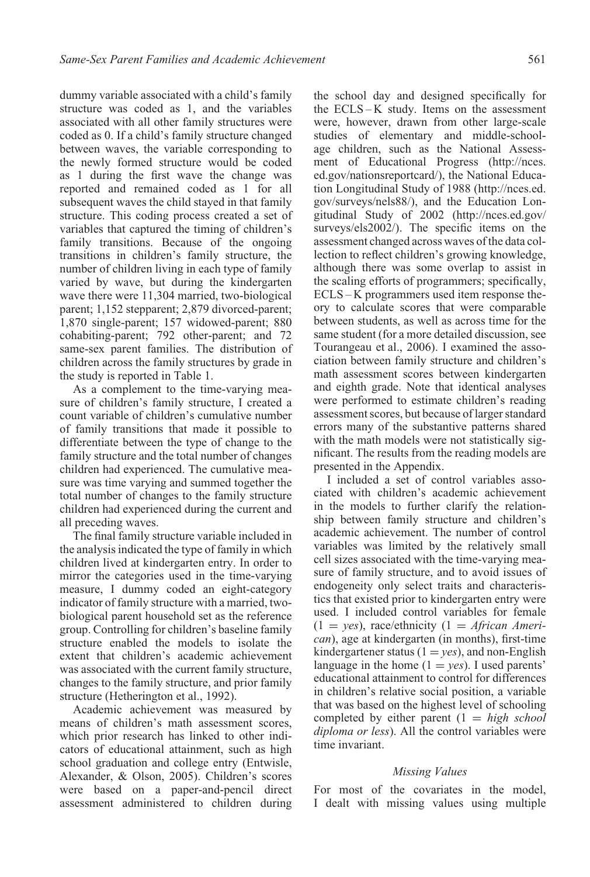dummy variable associated with a child's family structure was coded as 1, and the variables associated with all other family structures were coded as 0. If a child's family structure changed between waves, the variable corresponding to the newly formed structure would be coded as 1 during the first wave the change was reported and remained coded as 1 for all subsequent waves the child stayed in that family structure. This coding process created a set of variables that captured the timing of children's family transitions. Because of the ongoing transitions in children's family structure, the number of children living in each type of family varied by wave, but during the kindergarten wave there were 11,304 married, two-biological parent; 1,152 stepparent; 2,879 divorced-parent; 1,870 single-parent; 157 widowed-parent; 880 cohabiting-parent; 792 other-parent; and 72 same-sex parent families. The distribution of children across the family structures by grade in the study is reported in Table 1.

As a complement to the time-varying measure of children's family structure, I created a count variable of children's cumulative number of family transitions that made it possible to differentiate between the type of change to the family structure and the total number of changes children had experienced. The cumulative measure was time varying and summed together the total number of changes to the family structure children had experienced during the current and all preceding waves.

The final family structure variable included in the analysis indicated the type of family in which children lived at kindergarten entry. In order to mirror the categories used in the time-varying measure, I dummy coded an eight-category indicator of family structure with a married, twobiological parent household set as the reference group. Controlling for children's baseline family structure enabled the models to isolate the extent that children's academic achievement was associated with the current family structure, changes to the family structure, and prior family structure (Hetherington et al., 1992).

Academic achievement was measured by means of children's math assessment scores, which prior research has linked to other indicators of educational attainment, such as high school graduation and college entry (Entwisle, Alexander, & Olson, 2005). Children's scores were based on a paper-and-pencil direct assessment administered to children during

the school day and designed specifically for the ECLS – K study. Items on the assessment were, however, drawn from other large-scale studies of elementary and middle-schoolage children, such as the National Assessment of Educational Progress (http://nces. ed.gov/nationsreportcard/), the National Education Longitudinal Study of 1988 (http://nces.ed. gov/surveys/nels88/), and the Education Longitudinal Study of 2002 (http://nces.ed.gov/ surveys/els2002/). The specific items on the assessment changed across waves of the data collection to reflect children's growing knowledge, although there was some overlap to assist in the scaling efforts of programmers; specifically, ECLS – K programmers used item response theory to calculate scores that were comparable between students, as well as across time for the same student (for a more detailed discussion, see Tourangeau et al., 2006). I examined the association between family structure and children's math assessment scores between kindergarten and eighth grade. Note that identical analyses were performed to estimate children's reading assessment scores, but because of larger standard errors many of the substantive patterns shared with the math models were not statistically significant. The results from the reading models are presented in the Appendix.

I included a set of control variables associated with children's academic achievement in the models to further clarify the relationship between family structure and children's academic achievement. The number of control variables was limited by the relatively small cell sizes associated with the time-varying measure of family structure, and to avoid issues of endogeneity only select traits and characteristics that existed prior to kindergarten entry were used. I included control variables for female  $(1 = yes)$ , race/ethnicity  $(1 = African American)$ *can*), age at kindergarten (in months), first-time kindergartener status  $(1 = yes)$ , and non-English language in the home  $(1 = \text{ves})$ . I used parents' educational attainment to control for differences in children's relative social position, a variable that was based on the highest level of schooling completed by either parent (1 = *high school diploma or less*). All the control variables were time invariant.

# *Missing Values*

For most of the covariates in the model, I dealt with missing values using multiple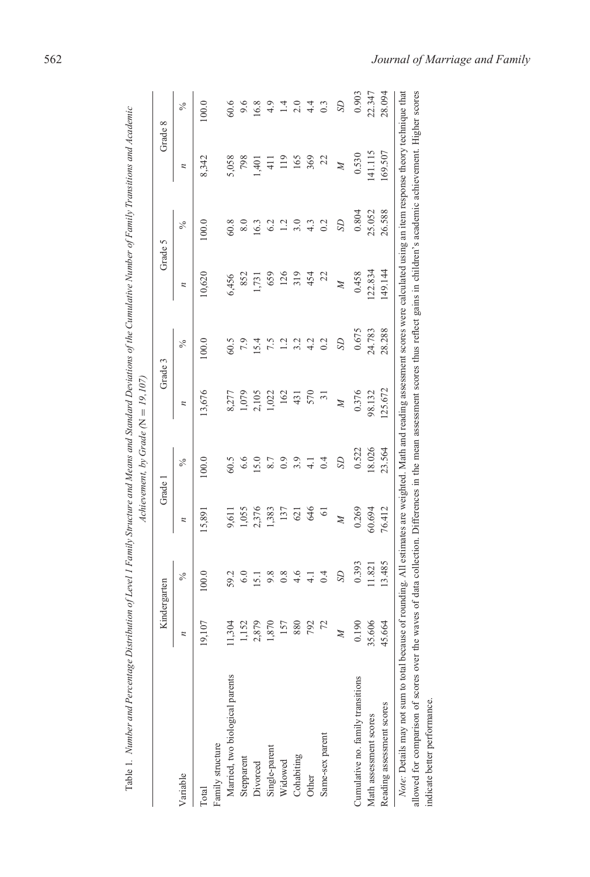|                                   |                | Kindergarten     | Grade          |                  |                | Grade 3   |                | Grade 5   | Grade 8        |                                                                                  |
|-----------------------------------|----------------|------------------|----------------|------------------|----------------|-----------|----------------|-----------|----------------|----------------------------------------------------------------------------------|
| Variable                          | z              | $\delta_{\rm o}$ | $\overline{a}$ | ℅                | $\overline{a}$ | ℅         | $\overline{a}$ | ℅         | $\overline{a}$ | $\%$                                                                             |
| Total                             | 107<br>19,     | 100.0            | 15,891         | 100.0            | 13,676         | 100.0     | 10,620         | 100.0     | 8,342          | 100.0                                                                            |
| Family structure                  |                |                  |                |                  |                |           |                |           |                |                                                                                  |
| Married, two biological parents   | 304            | 59.2             | 9,611          | 60.5             | 8,277          | 60.5      | 6,456          | 60.8      | 5,058          | 60.6                                                                             |
| Stepparent                        | 1,152          | 6.0              | 1,055          | 6.6              | 1,079          | 7.9       | 852            | 8.0       | 798            | 9.6                                                                              |
| Divorced                          | 879<br>$\sim$  | 15.1             | 2,376          | 15.0             | 2,105          | 15.4      | 1,731          | 16.3      | .401           |                                                                                  |
| Single-parent                     | 1,870          | 9.8              | 1,383          | $8.7\,$          | 1,022          | 7.5       | 659            | 6.2       | $\frac{11}{4}$ |                                                                                  |
| Widowed                           | 157            | $0.\overline{8}$ | 137            | 0.9              | 162            | 1.2       | 126            | 1.2       | 119            |                                                                                  |
| Cohabiting                        | 880            | 4.6              | 621            | 3.9              | 431            | 3.2       | 319            | 3.0       | 165            | $\begin{array}{c} 0.8 & 0.4 & 0.4 & 0.4 \\ 0.4 & 0.4 & 0.4 & 0.4 \\ \end{array}$ |
| Other                             | 792            | $\overline{4}$ . | 646            | $\overline{4}$ . | 570            | 4.2       | 454            | 4.3       | 369            |                                                                                  |
| Same-sex parent                   | 72             | 0.4              | 5              | 0.4              | $\Xi$          | 0.2       | 22             | 0.2       | 22             |                                                                                  |
|                                   |                | S <sub>D</sub>   | $\overline{M}$ | SD <sub>1</sub>  | $\mathbb{N}$   | <b>SD</b> | $\mathbb{N}$   | <b>SD</b> | $\mathbb{Z}$   | S <sub>D</sub>                                                                   |
| Cumulative no. family transitions | 190<br>$\circ$ | 0.393            | 0.269          | 0.522            | 0.376          | 0.675     | 0.458          | 0.804     | 0.530          | 0.903                                                                            |
| Math assessment scores            | .606<br>35.    | 11.821           | 60.694         | 18.026           | 98.132         | 24.783    | 122.834        | 25.052    | 141.115        | 22.347                                                                           |
| Reading assessment scores         | .664<br>45     | 13.485           | 76.412         | 23.564           | 125.672        | 28.288    | 149.144        | 26.588    | 69.507         | 28.094                                                                           |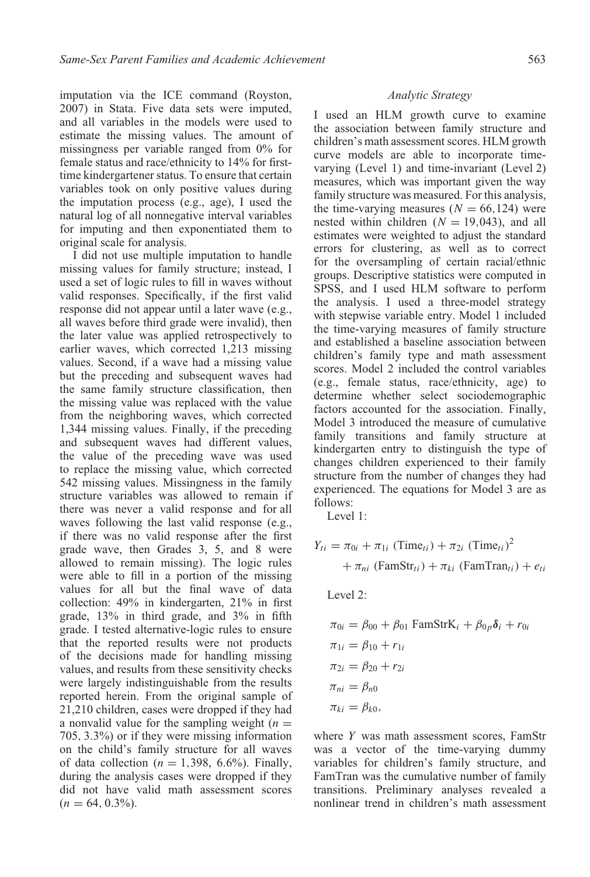imputation via the ICE command (Royston, 2007) in Stata. Five data sets were imputed, and all variables in the models were used to estimate the missing values. The amount of missingness per variable ranged from 0% for female status and race/ethnicity to 14% for firsttime kindergartener status. To ensure that certain variables took on only positive values during the imputation process (e.g., age), I used the natural log of all nonnegative interval variables for imputing and then exponentiated them to original scale for analysis.

I did not use multiple imputation to handle missing values for family structure; instead, I used a set of logic rules to fill in waves without valid responses. Specifically, if the first valid response did not appear until a later wave (e.g., all waves before third grade were invalid), then the later value was applied retrospectively to earlier waves, which corrected 1,213 missing values. Second, if a wave had a missing value but the preceding and subsequent waves had the same family structure classification, then the missing value was replaced with the value from the neighboring waves, which corrected 1,344 missing values. Finally, if the preceding and subsequent waves had different values, the value of the preceding wave was used to replace the missing value, which corrected 542 missing values. Missingness in the family structure variables was allowed to remain if there was never a valid response and for all waves following the last valid response (e.g., if there was no valid response after the first grade wave, then Grades 3, 5, and 8 were allowed to remain missing). The logic rules were able to fill in a portion of the missing values for all but the final wave of data collection: 49% in kindergarten, 21% in first grade, 13% in third grade, and 3% in fifth grade. I tested alternative-logic rules to ensure that the reported results were not products of the decisions made for handling missing values, and results from these sensitivity checks were largely indistinguishable from the results reported herein. From the original sample of 21,210 children, cases were dropped if they had a nonvalid value for the sampling weight  $(n =$ 705*,* 3*.*3%) or if they were missing information on the child's family structure for all waves of data collection  $(n = 1,398, 6.6\%)$ . Finally, during the analysis cases were dropped if they did not have valid math assessment scores  $(n = 64, 0.3\%)$ .

# *Analytic Strategy*

I used an HLM growth curve to examine the association between family structure and children's math assessment scores. HLM growth curve models are able to incorporate timevarying (Level 1) and time-invariant (Level 2) measures, which was important given the way family structure was measured. For this analysis, the time-varying measures  $(N = 66, 124)$  were nested within children  $(N = 19,043)$ , and all estimates were weighted to adjust the standard errors for clustering, as well as to correct for the oversampling of certain racial/ethnic groups. Descriptive statistics were computed in SPSS, and I used HLM software to perform the analysis. I used a three-model strategy with stepwise variable entry. Model 1 included the time-varying measures of family structure and established a baseline association between children's family type and math assessment scores. Model 2 included the control variables (e.g., female status, race/ethnicity, age) to determine whether select sociodemographic factors accounted for the association. Finally, Model 3 introduced the measure of cumulative family transitions and family structure at kindergarten entry to distinguish the type of changes children experienced to their family structure from the number of changes they had experienced. The equations for Model 3 are as follows:

Level 1:

$$
Y_{ti} = \pi_{0i} + \pi_{1i} \text{ (Time}_{ti}) + \pi_{2i} \text{ (Time}_{ti})^2
$$

$$
+ \pi_{ni} \text{ (FamStr}_{ti}) + \pi_{ki} \text{ (FamTran}_{ti}) + e_{ti}
$$

# Level 2:

$$
\pi_{0i} = \beta_{00} + \beta_{01} \text{ FamStrK}_i + \beta_{0p} \delta_i + r_{0i}
$$
  
\n
$$
\pi_{1i} = \beta_{10} + r_{1i}
$$
  
\n
$$
\pi_{2i} = \beta_{20} + r_{2i}
$$
  
\n
$$
\pi_{ni} = \beta_{n0}
$$
  
\n
$$
\pi_{ki} = \beta_{k0},
$$

where *Y* was math assessment scores, FamStr was a vector of the time-varying dummy variables for children's family structure, and FamTran was the cumulative number of family transitions. Preliminary analyses revealed a nonlinear trend in children's math assessment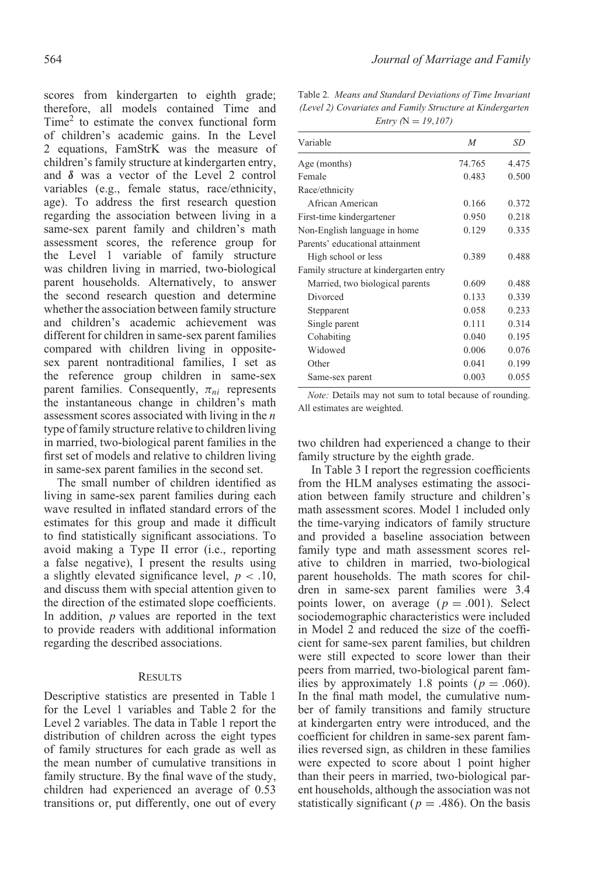scores from kindergarten to eighth grade; therefore, all models contained Time and Time2 to estimate the convex functional form of children's academic gains. In the Level 2 equations, FamStrK was the measure of children's family structure at kindergarten entry, and *δ* was a vector of the Level 2 control variables (e.g., female status, race/ethnicity, age). To address the first research question regarding the association between living in a same-sex parent family and children's math assessment scores, the reference group for the Level 1 variable of family structure was children living in married, two-biological parent households. Alternatively, to answer the second research question and determine whether the association between family structure and children's academic achievement was different for children in same-sex parent families compared with children living in oppositesex parent nontraditional families, I set as the reference group children in same-sex parent families. Consequently,  $\pi_{ni}$  represents the instantaneous change in children's math assessment scores associated with living in the *n* type of family structure relative to children living in married, two-biological parent families in the first set of models and relative to children living in same-sex parent families in the second set.

The small number of children identified as living in same-sex parent families during each wave resulted in inflated standard errors of the estimates for this group and made it difficult to find statistically significant associations. To avoid making a Type II error (i.e., reporting a false negative), I present the results using a slightly elevated significance level,  $p < .10$ , and discuss them with special attention given to the direction of the estimated slope coefficients. In addition, *p* values are reported in the text to provide readers with additional information regarding the described associations.

#### RESULTS

Descriptive statistics are presented in Table 1 for the Level 1 variables and Table 2 for the Level 2 variables. The data in Table 1 report the distribution of children across the eight types of family structures for each grade as well as the mean number of cumulative transitions in family structure. By the final wave of the study, children had experienced an average of 0.53 transitions or, put differently, one out of every

Table 2*. Means and Standard Deviations of Time Invariant (Level 2) Covariates and Family Structure at Kindergarten Entry (*N = *19,107)*

| Variable                               | M      | SD    |
|----------------------------------------|--------|-------|
| Age (months)                           | 74.765 | 4.475 |
| Female                                 | 0.483  | 0.500 |
| Race/ethnicity                         |        |       |
| African American                       | 0.166  | 0.372 |
| First-time kindergartener              | 0.950  | 0.218 |
| Non-English language in home           | 0.129  | 0.335 |
| Parents' educational attainment        |        |       |
| High school or less                    | 0.389  | 0.488 |
| Family structure at kindergarten entry |        |       |
| Married, two biological parents        | 0.609  | 0.488 |
| Divorced                               | 0.133  | 0.339 |
| Stepparent                             | 0.058  | 0.233 |
| Single parent                          | 0.111  | 0.314 |
| Cohabiting                             | 0.040  | 0.195 |
| Widowed                                | 0.006  | 0.076 |
| Other                                  | 0.041  | 0.199 |
| Same-sex parent                        | 0.003  | 0.055 |
|                                        |        |       |

*Note:* Details may not sum to total because of rounding. All estimates are weighted.

two children had experienced a change to their family structure by the eighth grade.

In Table 3 I report the regression coefficients from the HLM analyses estimating the association between family structure and children's math assessment scores. Model 1 included only the time-varying indicators of family structure and provided a baseline association between family type and math assessment scores relative to children in married, two-biological parent households. The math scores for children in same-sex parent families were 3.4 points lower, on average  $(p = .001)$ . Select sociodemographic characteristics were included in Model 2 and reduced the size of the coefficient for same-sex parent families, but children were still expected to score lower than their peers from married, two-biological parent families by approximately 1.8 points ( $p = .060$ ). In the final math model, the cumulative number of family transitions and family structure at kindergarten entry were introduced, and the coefficient for children in same-sex parent families reversed sign, as children in these families were expected to score about 1 point higher than their peers in married, two-biological parent households, although the association was not statistically significant ( $p = .486$ ). On the basis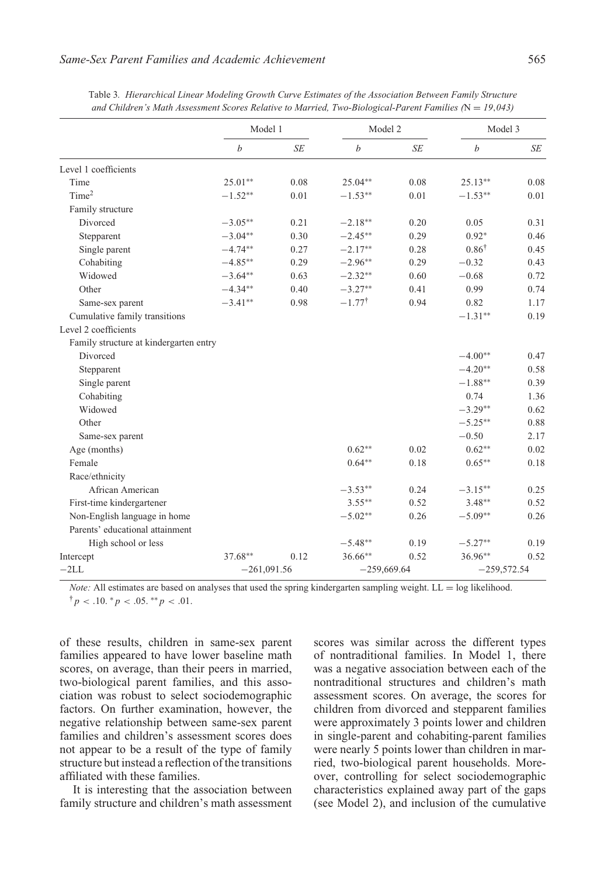|                                        | Model 1          |           | Model 2           |           | Model 3          |      |
|----------------------------------------|------------------|-----------|-------------------|-----------|------------------|------|
|                                        | $\boldsymbol{b}$ | <b>SE</b> | $\boldsymbol{b}$  | $\cal SE$ | $\boldsymbol{b}$ | SE   |
| Level 1 coefficients                   |                  |           |                   |           |                  |      |
| Time                                   | 25.01**          | 0.08      | 25.04**           | 0.08      | 25.13**          | 0.08 |
| Time <sup>2</sup>                      | $-1.52**$        | 0.01      | $-1.53**$         | 0.01      | $-1.53**$        | 0.01 |
| Family structure                       |                  |           |                   |           |                  |      |
| Divorced                               | $-3.05**$        | 0.21      | $-2.18**$         | 0.20      | 0.05             | 0.31 |
| Stepparent                             | $-3.04**$        | 0.30      | $-2.45**$         | 0.29      | $0.92*$          | 0.46 |
| Single parent                          | $-4.74**$        | 0.27      | $-2.17**$         | 0.28      | $0.86^{\dagger}$ | 0.45 |
| Cohabiting                             | $-4.85**$        | 0.29      | $-2.96**$         | 0.29      | $-0.32$          | 0.43 |
| Widowed                                | $-3.64**$        | 0.63      | $-2.32**$         | 0.60      | $-0.68$          | 0.72 |
| Other                                  | $-4.34**$        | 0.40      | $-3.27**$         | 0.41      | 0.99             | 0.74 |
| Same-sex parent                        | $-3.41**$        | 0.98      | $-1.77^{\dagger}$ | 0.94      | 0.82             | 1.17 |
| Cumulative family transitions          |                  |           |                   |           | $-1.31**$        | 0.19 |
| Level 2 coefficients                   |                  |           |                   |           |                  |      |
| Family structure at kindergarten entry |                  |           |                   |           |                  |      |
| Divorced                               |                  |           |                   |           | $-4.00**$        | 0.47 |
| Stepparent                             |                  |           |                   |           | $-4.20**$        | 0.58 |
| Single parent                          |                  |           |                   |           | $-1.88**$        | 0.39 |
| Cohabiting                             |                  |           |                   |           | 0.74             | 1.36 |
| Widowed                                |                  |           |                   |           | $-3.29**$        | 0.62 |
| Other                                  |                  |           |                   |           | $-5.25**$        | 0.88 |
| Same-sex parent                        |                  |           |                   |           | $-0.50$          | 2.17 |
| Age (months)                           |                  |           | $0.62**$          | 0.02      | $0.62**$         | 0.02 |
| Female                                 |                  |           | $0.64**$          | 0.18      | $0.65***$        | 0.18 |
| Race/ethnicity                         |                  |           |                   |           |                  |      |
| African American                       |                  |           | $-3.53**$         | 0.24      | $-3.15**$        | 0.25 |
| First-time kindergartener              |                  |           | $3.55***$         | 0.52      | $3.48**$         | 0.52 |
| Non-English language in home           |                  |           | $-5.02**$         | 0.26      | $-5.09**$        | 0.26 |
| Parents' educational attainment        |                  |           |                   |           |                  |      |
| High school or less                    |                  |           | $-5.48**$         | 0.19      | $-5.27**$        | 0.19 |
| Intercept                              | 37.68**          | 0.12      | 36.66**           | 0.52      | 36.96**          | 0.52 |
| $-2LL$                                 | $-261,091.56$    |           | $-259,669.64$     |           | $-259,572.54$    |      |

Table 3*. Hierarchical Linear Modeling Growth Curve Estimates of the Association Between Family Structure and Children's Math Assessment Scores Relative to Married, Two-Biological-Parent Families (*N = *19,043)*

*Note:* All estimates are based on analyses that used the spring kindergarten sampling weight.  $LL = log$  likelihood.  $\frac{p}{p}$  < .10.  $\frac{p}{p}$  < .05. \*\* *p* < .01.

of these results, children in same-sex parent families appeared to have lower baseline math scores, on average, than their peers in married, two-biological parent families, and this association was robust to select sociodemographic factors. On further examination, however, the negative relationship between same-sex parent families and children's assessment scores does not appear to be a result of the type of family structure but instead a reflection of the transitions affiliated with these families.

It is interesting that the association between family structure and children's math assessment

scores was similar across the different types of nontraditional families. In Model 1, there was a negative association between each of the nontraditional structures and children's math assessment scores. On average, the scores for children from divorced and stepparent families were approximately 3 points lower and children in single-parent and cohabiting-parent families were nearly 5 points lower than children in married, two-biological parent households. Moreover, controlling for select sociodemographic characteristics explained away part of the gaps (see Model 2), and inclusion of the cumulative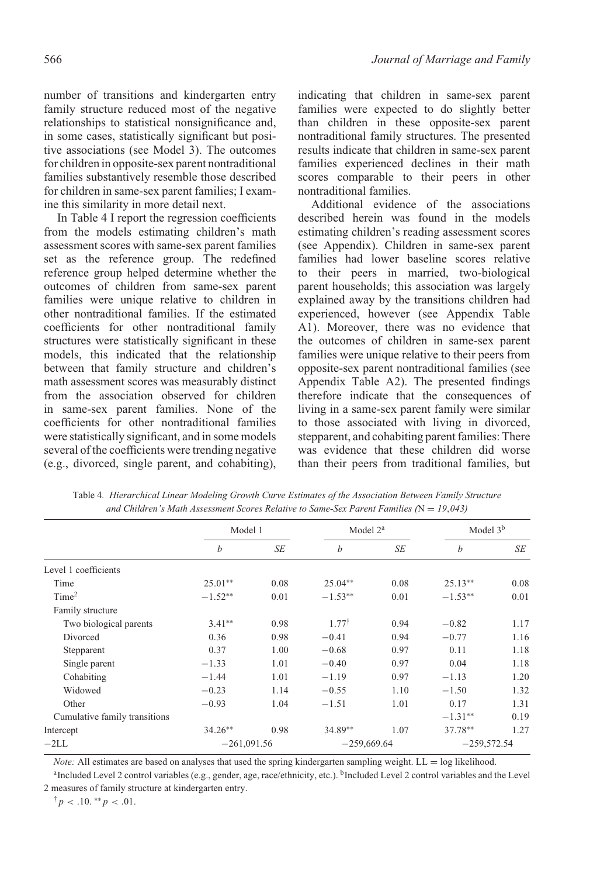number of transitions and kindergarten entry family structure reduced most of the negative relationships to statistical nonsignificance and, in some cases, statistically significant but positive associations (see Model 3). The outcomes for children in opposite-sex parent nontraditional families substantively resemble those described for children in same-sex parent families; I examine this similarity in more detail next.

In Table 4 I report the regression coefficients from the models estimating children's math assessment scores with same-sex parent families set as the reference group. The redefined reference group helped determine whether the outcomes of children from same-sex parent families were unique relative to children in other nontraditional families. If the estimated coefficients for other nontraditional family structures were statistically significant in these models, this indicated that the relationship between that family structure and children's math assessment scores was measurably distinct from the association observed for children in same-sex parent families. None of the coefficients for other nontraditional families were statistically significant, and in some models several of the coefficients were trending negative (e.g., divorced, single parent, and cohabiting),

indicating that children in same-sex parent families were expected to do slightly better than children in these opposite-sex parent nontraditional family structures. The presented results indicate that children in same-sex parent families experienced declines in their math scores comparable to their peers in other nontraditional families.

Additional evidence of the associations described herein was found in the models estimating children's reading assessment scores (see Appendix). Children in same-sex parent families had lower baseline scores relative to their peers in married, two-biological parent households; this association was largely explained away by the transitions children had experienced, however (see Appendix Table A1). Moreover, there was no evidence that the outcomes of children in same-sex parent families were unique relative to their peers from opposite-sex parent nontraditional families (see Appendix Table A2). The presented findings therefore indicate that the consequences of living in a same-sex parent family were similar to those associated with living in divorced, stepparent, and cohabiting parent families: There was evidence that these children did worse than their peers from traditional families, but

|                               | Model 1          |      |                  | Model 2 <sup>a</sup> |               | Model $3b$ |
|-------------------------------|------------------|------|------------------|----------------------|---------------|------------|
|                               | $\boldsymbol{b}$ | SE   | $\boldsymbol{b}$ | <b>SE</b>            | b             | SE         |
| Level 1 coefficients          |                  |      |                  |                      |               |            |
| Time                          | $25.01**$        | 0.08 | $25.04**$        | 0.08                 | $25.13**$     | 0.08       |
| Time <sup>2</sup>             | $-1.52**$        | 0.01 | $-1.53**$        | 0.01                 | $-1.53**$     | 0.01       |
| Family structure              |                  |      |                  |                      |               |            |
| Two biological parents        | $3.41**$         | 0.98 | $1.77^{\dagger}$ | 0.94                 | $-0.82$       | 1.17       |
| Divorced                      | 0.36             | 0.98 | $-0.41$          | 0.94                 | $-0.77$       | 1.16       |
| Stepparent                    | 0.37             | 1.00 | $-0.68$          | 0.97                 | 0.11          | 1.18       |
| Single parent                 | $-1.33$          | 1.01 | $-0.40$          | 0.97                 | 0.04          | 1.18       |
| Cohabiting                    | $-1.44$          | 1.01 | $-1.19$          | 0.97                 | $-1.13$       | 1.20       |
| Widowed                       | $-0.23$          | 1.14 | $-0.55$          | 1.10                 | $-1.50$       | 1.32       |
| Other                         | $-0.93$          | 1.04 | $-1.51$          | 1.01                 | 0.17          | 1.31       |
| Cumulative family transitions |                  |      |                  |                      | $-1.31**$     | 0.19       |
| Intercept                     | 34.26**          | 0.98 | $34.89**$        | 1.07                 | 37.78**       | 1.27       |
| $-2LL$                        | $-261,091.56$    |      | $-259,669.64$    |                      | $-259,572.54$ |            |

Table 4*. Hierarchical Linear Modeling Growth Curve Estimates of the Association Between Family Structure and Children's Math Assessment Scores Relative to Same-Sex Parent Families (*N = *19,043)*

*Note:* All estimates are based on analyses that used the spring kindergarten sampling weight. LL = log likelihood.

<sup>a</sup>Included Level 2 control variables (e.g., gender, age, race/ethnicity, etc.). <sup>b</sup>Included Level 2 control variables and the Level 2 measures of family structure at kindergarten entry.

 $<sup>†</sup>p$  < .10. <sup>\*\*</sup>*p* < .01.</sup>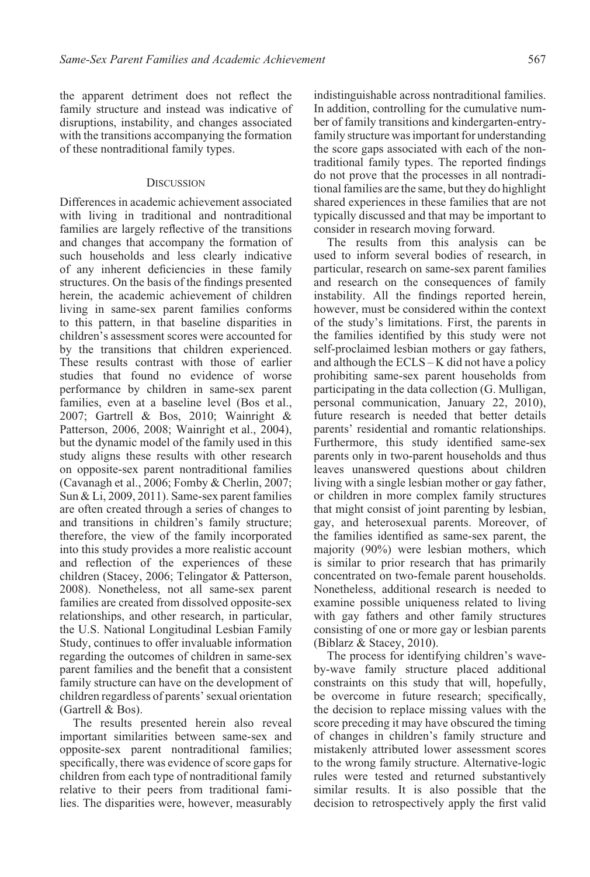the apparent detriment does not reflect the family structure and instead was indicative of disruptions, instability, and changes associated with the transitions accompanying the formation of these nontraditional family types.

# **DISCUSSION**

Differences in academic achievement associated with living in traditional and nontraditional families are largely reflective of the transitions and changes that accompany the formation of such households and less clearly indicative of any inherent deficiencies in these family structures. On the basis of the findings presented herein, the academic achievement of children living in same-sex parent families conforms to this pattern, in that baseline disparities in children's assessment scores were accounted for by the transitions that children experienced. These results contrast with those of earlier studies that found no evidence of worse performance by children in same-sex parent families, even at a baseline level (Bos et al., 2007; Gartrell & Bos, 2010; Wainright & Patterson, 2006, 2008; Wainright et al., 2004), but the dynamic model of the family used in this study aligns these results with other research on opposite-sex parent nontraditional families (Cavanagh et al., 2006; Fomby & Cherlin, 2007; Sun & Li, 2009, 2011). Same-sex parent families are often created through a series of changes to and transitions in children's family structure; therefore, the view of the family incorporated into this study provides a more realistic account and reflection of the experiences of these children (Stacey, 2006; Telingator & Patterson, 2008). Nonetheless, not all same-sex parent families are created from dissolved opposite-sex relationships, and other research, in particular, the U.S. National Longitudinal Lesbian Family Study, continues to offer invaluable information regarding the outcomes of children in same-sex parent families and the benefit that a consistent family structure can have on the development of children regardless of parents' sexual orientation (Gartrell & Bos).

The results presented herein also reveal important similarities between same-sex and opposite-sex parent nontraditional families; specifically, there was evidence of score gaps for children from each type of nontraditional family relative to their peers from traditional families. The disparities were, however, measurably

indistinguishable across nontraditional families. In addition, controlling for the cumulative number of family transitions and kindergarten-entryfamily structure was important for understanding the score gaps associated with each of the nontraditional family types. The reported findings do not prove that the processes in all nontraditional families are the same, but they do highlight shared experiences in these families that are not typically discussed and that may be important to consider in research moving forward.

The results from this analysis can be used to inform several bodies of research, in particular, research on same-sex parent families and research on the consequences of family instability. All the findings reported herein, however, must be considered within the context of the study's limitations. First, the parents in the families identified by this study were not self-proclaimed lesbian mothers or gay fathers, and although the ECLS – K did not have a policy prohibiting same-sex parent households from participating in the data collection (G. Mulligan, personal communication, January 22, 2010), future research is needed that better details parents' residential and romantic relationships. Furthermore, this study identified same-sex parents only in two-parent households and thus leaves unanswered questions about children living with a single lesbian mother or gay father, or children in more complex family structures that might consist of joint parenting by lesbian, gay, and heterosexual parents. Moreover, of the families identified as same-sex parent, the majority (90%) were lesbian mothers, which is similar to prior research that has primarily concentrated on two-female parent households. Nonetheless, additional research is needed to examine possible uniqueness related to living with gay fathers and other family structures consisting of one or more gay or lesbian parents (Biblarz & Stacey, 2010).

The process for identifying children's waveby-wave family structure placed additional constraints on this study that will, hopefully, be overcome in future research; specifically, the decision to replace missing values with the score preceding it may have obscured the timing of changes in children's family structure and mistakenly attributed lower assessment scores to the wrong family structure. Alternative-logic rules were tested and returned substantively similar results. It is also possible that the decision to retrospectively apply the first valid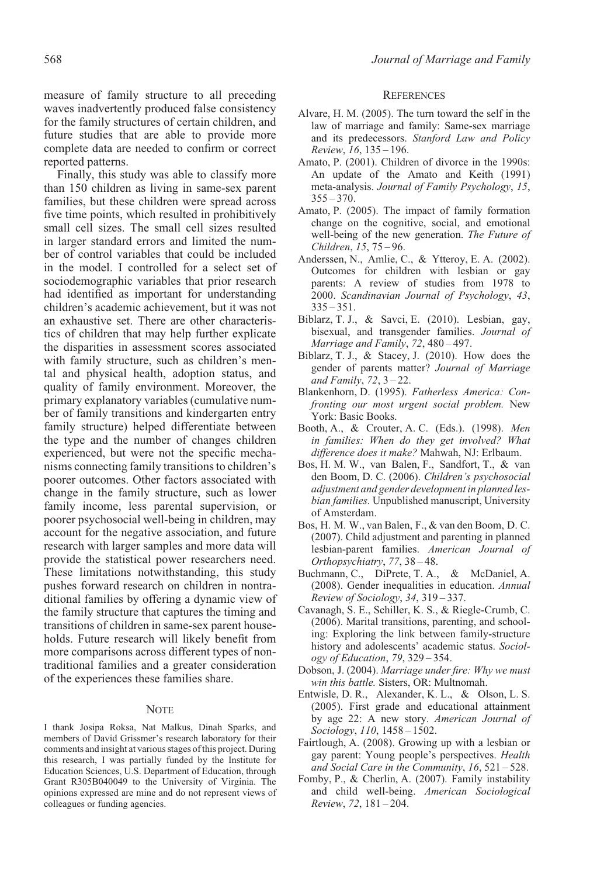measure of family structure to all preceding waves inadvertently produced false consistency for the family structures of certain children, and future studies that are able to provide more complete data are needed to confirm or correct reported patterns.

Finally, this study was able to classify more than 150 children as living in same-sex parent families, but these children were spread across five time points, which resulted in prohibitively small cell sizes. The small cell sizes resulted in larger standard errors and limited the number of control variables that could be included in the model. I controlled for a select set of sociodemographic variables that prior research had identified as important for understanding children's academic achievement, but it was not an exhaustive set. There are other characteristics of children that may help further explicate the disparities in assessment scores associated with family structure, such as children's mental and physical health, adoption status, and quality of family environment. Moreover, the primary explanatory variables (cumulative number of family transitions and kindergarten entry family structure) helped differentiate between the type and the number of changes children experienced, but were not the specific mechanisms connecting family transitions to children's poorer outcomes. Other factors associated with change in the family structure, such as lower family income, less parental supervision, or poorer psychosocial well-being in children, may account for the negative association, and future research with larger samples and more data will provide the statistical power researchers need. These limitations notwithstanding, this study pushes forward research on children in nontraditional families by offering a dynamic view of the family structure that captures the timing and transitions of children in same-sex parent households. Future research will likely benefit from more comparisons across different types of nontraditional families and a greater consideration of the experiences these families share.

#### **NOTE**

I thank Josipa Roksa, Nat Malkus, Dinah Sparks, and members of David Grissmer's research laboratory for their comments and insight at various stages of this project. During this research, I was partially funded by the Institute for Education Sciences, U.S. Department of Education, through Grant R305B040049 to the University of Virginia. The opinions expressed are mine and do not represent views of colleagues or funding agencies.

# **REFERENCES**

- Alvare, H. M. (2005). The turn toward the self in the law of marriage and family: Same-sex marriage and its predecessors. *Stanford Law and Policy Review*, *16*, 135 – 196.
- Amato, P. (2001). Children of divorce in the 1990s: An update of the Amato and Keith (1991) meta-analysis. *Journal of Family Psychology*, *15*,  $355 - 370.$
- Amato, P. (2005). The impact of family formation change on the cognitive, social, and emotional well-being of the new generation. *The Future of Children*, *15*, 75 – 96.
- Anderssen, N., Amlie, C., & Ytteroy, E. A. (2002). Outcomes for children with lesbian or gay parents: A review of studies from 1978 to 2000. *Scandinavian Journal of Psychology*, *43*,  $335 - 351$ .
- Biblarz, T. J., & Savci, E. (2010). Lesbian, gay, bisexual, and transgender families. *Journal of Marriage and Family*, *72*, 480 – 497.
- Biblarz, T. J., & Stacey, J. (2010). How does the gender of parents matter? *Journal of Marriage and Family*, *72*, 3 – 22.
- Blankenhorn, D. (1995). *Fatherless America: Confronting our most urgent social problem.* New York: Basic Books.
- Booth, A., & Crouter, A. C. (Eds.). (1998). *Men in families: When do they get involved? What difference does it make?* Mahwah, NJ: Erlbaum.
- Bos, H. M. W., van Balen, F., Sandfort, T., & van den Boom, D. C. (2006). *Children's psychosocial adjustment and gender development in planned lesbian families.* Unpublished manuscript, University of Amsterdam.
- Bos, H. M. W., van Balen, F., & van den Boom, D. C. (2007). Child adjustment and parenting in planned lesbian-parent families. *American Journal of Orthopsychiatry*, *77*, 38 – 48.
- Buchmann, C., DiPrete, T. A., & McDaniel, A. (2008). Gender inequalities in education. *Annual Review of Sociology*, *34*, 319 – 337.
- Cavanagh, S. E., Schiller, K. S., & Riegle-Crumb, C. (2006). Marital transitions, parenting, and schooling: Exploring the link between family-structure history and adolescents' academic status. *Sociology of Education*, *79*, 329 – 354.
- Dobson, J. (2004). *Marriage under fire: Why we must win this battle.* Sisters, OR: Multnomah.
- Entwisle, D. R., Alexander, K. L., & Olson, L. S. (2005). First grade and educational attainment by age 22: A new story. *American Journal of Sociology*, *110*, 1458 – 1502.
- Fairtlough, A. (2008). Growing up with a lesbian or gay parent: Young people's perspectives. *Health and Social Care in the Community*, *16*, 521 – 528.
- Fomby, P., & Cherlin, A. (2007). Family instability and child well-being. *American Sociological Review*, *72*, 181 – 204.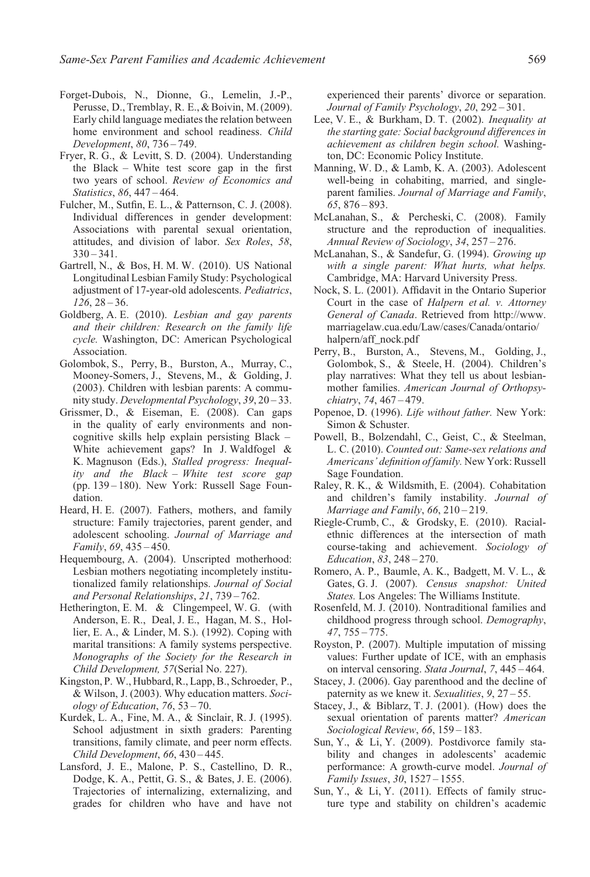- Forget-Dubois, N., Dionne, G., Lemelin, J.-P., Perusse, D., Tremblay, R. E., & Boivin, M. (2009). Early child language mediates the relation between home environment and school readiness. *Child Development*, *80*, 736 – 749.
- Fryer, R. G., & Levitt, S. D. (2004). Understanding the Black – White test score gap in the first two years of school. *Review of Economics and Statistics*, *86*, 447 – 464.
- Fulcher, M., Sutfin, E. L., & Patternson, C. J. (2008). Individual differences in gender development: Associations with parental sexual orientation, attitudes, and division of labor. *Sex Roles*, *58*,  $330 - 341$ .
- Gartrell, N., & Bos, H. M. W. (2010). US National Longitudinal Lesbian Family Study: Psychological adjustment of 17-year-old adolescents. *Pediatrics*, *126*, 28 – 36.
- Goldberg, A. E. (2010). *Lesbian and gay parents and their children: Research on the family life cycle.* Washington, DC: American Psychological Association.
- Golombok, S., Perry, B., Burston, A., Murray, C., Mooney-Somers, J., Stevens, M., & Golding, J. (2003). Children with lesbian parents: A community study. *Developmental Psychology*, *39*, 20 – 33.
- Grissmer, D., & Eiseman, E. (2008). Can gaps in the quality of early environments and noncognitive skills help explain persisting Black – White achievement gaps? In J. Waldfogel & K. Magnuson (Eds.), *Stalled progress: Inequality and the Black – White test score gap* (pp. 139 – 180). New York: Russell Sage Foundation.
- Heard, H. E. (2007). Fathers, mothers, and family structure: Family trajectories, parent gender, and adolescent schooling. *Journal of Marriage and Family*, *69*, 435 – 450.
- Hequembourg, A. (2004). Unscripted motherhood: Lesbian mothers negotiating incompletely institutionalized family relationships. *Journal of Social and Personal Relationships*, *21*, 739 – 762.
- Hetherington, E. M. & Clingempeel, W. G. (with Anderson, E. R., Deal, J. E., Hagan, M. S., Hollier, E. A., & Linder, M. S.). (1992). Coping with marital transitions: A family systems perspective. *Monographs of the Society for the Research in Child Development, 57*(Serial No. 227).
- Kingston, P. W., Hubbard, R., Lapp, B., Schroeder, P., & Wilson, J. (2003). Why education matters. *Sociology of Education*, *76*, 53 – 70.
- Kurdek, L. A., Fine, M. A., & Sinclair, R. J. (1995). School adjustment in sixth graders: Parenting transitions, family climate, and peer norm effects. *Child Development*, *66*, 430 – 445.
- Lansford, J. E., Malone, P. S., Castellino, D. R., Dodge, K. A., Pettit, G. S., & Bates, J. E. (2006). Trajectories of internalizing, externalizing, and grades for children who have and have not

experienced their parents' divorce or separation. *Journal of Family Psychology*, *20*, 292 – 301.

- Lee, V. E., & Burkham, D. T. (2002). *Inequality at the starting gate: Social background differences in achievement as children begin school.* Washington, DC: Economic Policy Institute.
- Manning, W. D., & Lamb, K. A. (2003). Adolescent well-being in cohabiting, married, and singleparent families. *Journal of Marriage and Family*, *65*, 876 – 893.
- McLanahan, S., & Percheski, C. (2008). Family structure and the reproduction of inequalities. *Annual Review of Sociology*, *34*, 257 – 276.
- McLanahan, S., & Sandefur, G. (1994). *Growing up with a single parent: What hurts, what helps.* Cambridge, MA: Harvard University Press.
- Nock, S. L. (2001). Affidavit in the Ontario Superior Court in the case of *Halpern et al. v. Attorney General of Canada*. Retrieved from http://www. marriagelaw.cua.edu/Law/cases/Canada/ontario/ halpern/aff\_nock.pdf
- Perry, B., Burston, A., Stevens, M., Golding, J., Golombok, S., & Steele, H. (2004). Children's play narratives: What they tell us about lesbianmother families. *American Journal of Orthopsychiatry*, *74*, 467 – 479.
- Popenoe, D. (1996). *Life without father.* New York: Simon & Schuster.
- Powell, B., Bolzendahl, C., Geist, C., & Steelman, L. C. (2010). *Counted out: Same-sex relations and Americans' definition of family.* New York: Russell Sage Foundation.
- Raley, R. K., & Wildsmith, E. (2004). Cohabitation and children's family instability. *Journal of Marriage and Family*, *66*, 210 – 219.
- Riegle-Crumb, C., & Grodsky, E. (2010). Racialethnic differences at the intersection of math course-taking and achievement. *Sociology of Education*, *83*, 248 – 270.
- Romero, A. P., Baumle, A. K., Badgett, M. V. L., & Gates, G. J. (2007). *Census snapshot: United States.* Los Angeles: The Williams Institute.
- Rosenfeld, M. J. (2010). Nontraditional families and childhood progress through school. *Demography*, *47*, 755 – 775.
- Royston, P. (2007). Multiple imputation of missing values: Further update of ICE, with an emphasis on interval censoring. *Stata Journal*, *7*, 445 – 464.
- Stacey, J. (2006). Gay parenthood and the decline of paternity as we knew it. *Sexualities*, *9*, 27 – 55.
- Stacey, J., & Biblarz, T. J. (2001). (How) does the sexual orientation of parents matter? *American Sociological Review*, *66*, 159 – 183.
- Sun, Y., & Li, Y. (2009). Postdivorce family stability and changes in adolescents' academic performance: A growth-curve model. *Journal of Family Issues*, *30*, 1527 – 1555.
- Sun, Y., & Li, Y. (2011). Effects of family structure type and stability on children's academic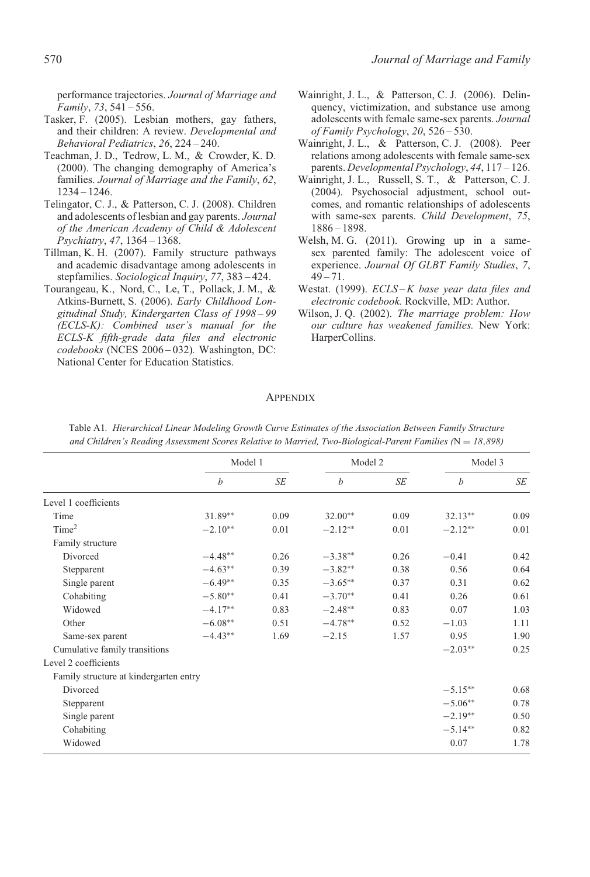performance trajectories. *Journal of Marriage and Family*, *73*, 541 – 556.

- Tasker, F. (2005). Lesbian mothers, gay fathers, and their children: A review. *Developmental and Behavioral Pediatrics*, *26*, 224 – 240.
- Teachman, J. D., Tedrow, L. M., & Crowder, K. D. (2000). The changing demography of America's families. *Journal of Marriage and the Family*, *62*, 1234 – 1246.
- Telingator, C. J., & Patterson, C. J. (2008). Children and adolescents of lesbian and gay parents. *Journal of the American Academy of Child & Adolescent Psychiatry*, *47*, 1364 – 1368.
- Tillman, K. H. (2007). Family structure pathways and academic disadvantage among adolescents in stepfamilies. *Sociological Inquiry*, *77*, 383 – 424.
- Tourangeau, K., Nord, C., Le, T., Pollack, J. M., & Atkins-Burnett, S. (2006). *Early Childhood Longitudinal Study, Kindergarten Class of 1998 – 99 (ECLS-K): Combined user's manual for the ECLS-K fifth-grade data files and electronic codebooks* (NCES 2006 – 032)*.* Washington, DC: National Center for Education Statistics.
- Wainright, J. L., & Patterson, C. J. (2006). Delinquency, victimization, and substance use among adolescents with female same-sex parents. *Journal of Family Psychology*, *20*, 526 – 530.
- Wainright, J. L., & Patterson, C. J. (2008). Peer relations among adolescents with female same-sex parents. *Developmental Psychology*, *44*, 117 – 126.
- Wainright, J. L., Russell, S. T., & Patterson, C. J. (2004). Psychosocial adjustment, school outcomes, and romantic relationships of adolescents with same-sex parents. *Child Development*, *75*, 1886 – 1898.
- Welsh, M. G. (2011). Growing up in a samesex parented family: The adolescent voice of experience. *Journal Of GLBT Family Studies*, *7*,  $49 - 71.$
- Westat. (1999). *ECLS K base year data files and electronic codebook.* Rockville, MD: Author.
- Wilson, J. Q. (2002). *The marriage problem: How our culture has weakened families.* New York: HarperCollins.

#### **APPENDIX**

|                                        | Model 1   |           | Model 2          |           | Model 3   |      |
|----------------------------------------|-----------|-----------|------------------|-----------|-----------|------|
|                                        | b         | <b>SE</b> | $\boldsymbol{b}$ | <b>SE</b> | b         | SE   |
| Level 1 coefficients                   |           |           |                  |           |           |      |
| Time                                   | 31.89**   | 0.09      | 32.00**          | 0.09      | 32.13**   | 0.09 |
| Time <sup>2</sup>                      | $-2.10**$ | 0.01      | $-2.12**$        | 0.01      | $-2.12**$ | 0.01 |
| Family structure                       |           |           |                  |           |           |      |
| Divorced                               | $-4.48**$ | 0.26      | $-3.38**$        | 0.26      | $-0.41$   | 0.42 |
| Stepparent                             | $-4.63**$ | 0.39      | $-3.82**$        | 0.38      | 0.56      | 0.64 |
| Single parent                          | $-6.49**$ | 0.35      | $-3.65**$        | 0.37      | 0.31      | 0.62 |
| Cohabiting                             | $-5.80**$ | 0.41      | $-3.70**$        | 0.41      | 0.26      | 0.61 |
| Widowed                                | $-4.17**$ | 0.83      | $-2.48**$        | 0.83      | 0.07      | 1.03 |
| Other                                  | $-6.08**$ | 0.51      | $-4.78**$        | 0.52      | $-1.03$   | 1.11 |
| Same-sex parent                        | $-4.43**$ | 1.69      | $-2.15$          | 1.57      | 0.95      | 1.90 |
| Cumulative family transitions          |           |           |                  |           | $-2.03**$ | 0.25 |
| Level 2 coefficients                   |           |           |                  |           |           |      |
| Family structure at kindergarten entry |           |           |                  |           |           |      |
| Divorced                               |           |           |                  |           | $-5.15**$ | 0.68 |
| Stepparent                             |           |           |                  |           | $-5.06**$ | 0.78 |
| Single parent                          |           |           |                  |           | $-2.19**$ | 0.50 |
| Cohabiting                             |           |           |                  |           | $-5.14**$ | 0.82 |
| Widowed                                |           |           |                  |           | 0.07      | 1.78 |

Table A1*. Hierarchical Linear Modeling Growth Curve Estimates of the Association Between Family Structure and Children's Reading Assessment Scores Relative to Married, Two-Biological-Parent Families (*N = *18,898)*